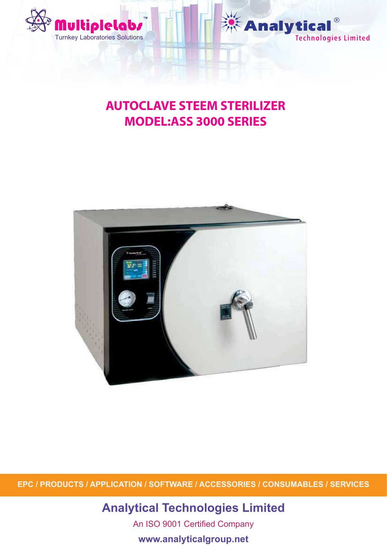



# **AUTOCLAVE STEEM STERILIZER MODEL:ASS 3000 SERIES**



**EPC / PRODUCTS / APPLICATION / SOFTWARE / ACCESSORIES / CONSUMABLES / SERVICES**

## **Analytical Technologies Limited**

An ISO 9001 Certified Company

**www.analyticalgroup.net**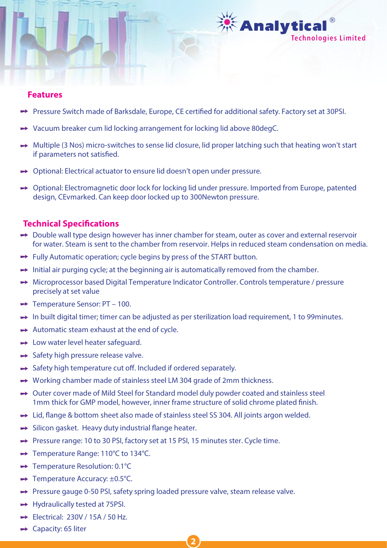

#### **Features**

- Pressure Switch made of Barksdale, Europe, CE certified for additional safety. Factory set at 30PSI.
- → Vacuum breaker cum lid locking arrangement for locking lid above 80degC.
- → Multiple (3 Nos) micro-switches to sense lid closure, lid proper latching such that heating won't start if parameters not satisfied.
- → Optional: Electrical actuator to ensure lid doesn't open under pressure.
- → Optional: Electromagnetic door lock for locking lid under pressure. Imported from Europe, patented design, CEvmarked. Can keep door locked up to 300Newton pressure.

## **Technical Specifications**

- → Double wall type design however has inner chamber for steam, outer as cover and external reservoir for water. Steam is sent to the chamber from reservoir. Helps in reduced steam condensation on media.
- → Fully Automatic operation; cycle begins by press of the START button.
- $\rightarrow$  Initial air purging cycle; at the beginning air is automatically removed from the chamber.
- Microprocessor based Digital Temperature Indicator Controller. Controls temperature / pressure precisely at set value
- $\rightarrow$  Temperature Sensor: PT 100.
- $\rightarrow$  In built digital timer; timer can be adjusted as per sterilization load requirement, 1 to 99 minutes.
- $\rightarrow$  Automatic steam exhaust at the end of cycle.
- **► Low water level heater safeguard.**
- $\rightarrow$  Safety high pressure release valve.
- $\rightarrow$  Safety high temperature cut off. Included if ordered separately.
- → Working chamber made of stainless steel LM 304 grade of 2mm thickness.
- → Outer cover made of Mild Steel for Standard model duly powder coated and stainless steel 1mm thick for GMP model, however, inner frame structure of solid chrome plated finish.
- $\rightarrow$  Lid, flange & bottom sheet also made of stainless steel SS 304. All joints argon welded.
- $\rightarrow$  Silicon gasket. Heavy duty industrial flange heater.
- → Pressure range: 10 to 30 PSI, factory set at 15 PSI, 15 minutes ster. Cycle time.
- → Temperature Range: 110°C to 134°C.
- → Temperature Resolution: 0.1°C
- $\rightarrow$  Temperature Accuracy:  $\pm 0.5^{\circ}$ C.
- → Pressure gauge 0-50 PSI, safety spring loaded pressure valve, steam release valve.

**2**

- $\rightarrow$  Hydraulically tested at 75PSI.
- $\rightarrow$  Electrical: 230V / 15A / 50 Hz.
- $\rightarrow$  Capacity: 65 liter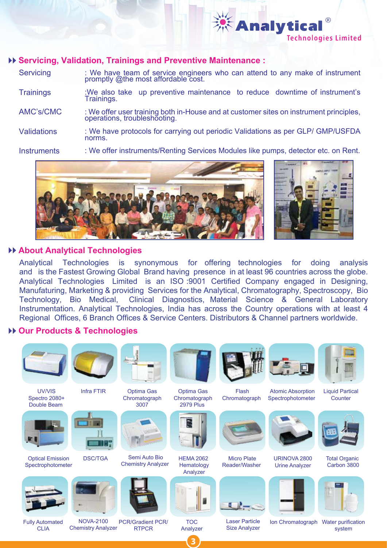

**Servicing Trainings** AMC's/CMC **Validations Instruments** : We have team of service engineers who can attend to any make of instrument promptly @the most affordable cost. :We also take up preventive maintenance to reduce downtime of instrument's Trainings. : We offer user training both in-House and at customer sites on instrument principles, operations, troubleshooting. : We have protocols for carrying out periodic Validations as per GLP/ GMP/USFDA norms. : We offer instruments/Renting Services Modules like pumps, detector etc. on Rent.





**Technologies Limited** 

**Analytical** 

## **About Analytical Technologies**

Analytical Technologies is synonymous for offering technologies for doing analysis and is the Fastest Growing Global Brand having presence in at least 96 countries across the globe. Analytical Technologies Limited is an ISO :9001 Certified Company engaged in Designing, Manufaturing, Marketing & providing Services for the Analytical, Chromatography, Spectroscopy, Bio Technology, Bio Medical, Clinical Diagnostics, Material Science & General Laboratory Instrumentation. Analytical Technologies, India has across the Country operations with at least 4 Regional Offices, 6 Branch Offices & Service Centers. Distributors & Channel partners worldwide.

## **Our Products & Technologies**



Fully Automated CLIA

NOVA-2100 Chemistry Analyzer

PCR/Gradient PCR/ **RTPCR** 

TOC Analyzer

**3**

Laser Particle Size Analyzer

Ion Chromatograph Water purification system